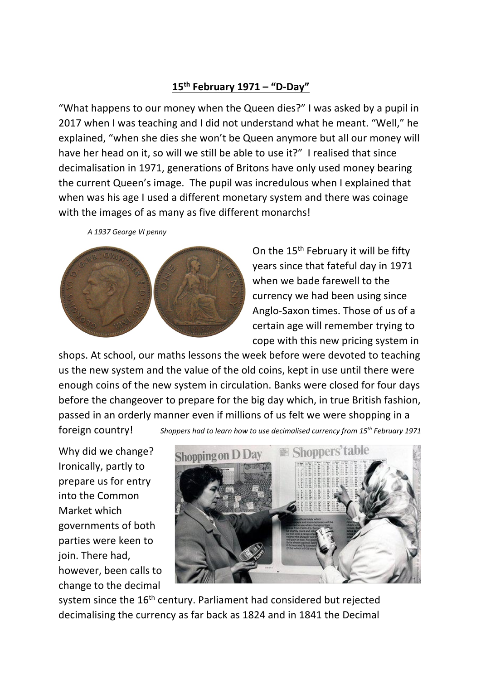## **15th February 1971 – "D-Day"**

"What happens to our money when the Queen dies?" I was asked by a pupil in 2017 when I was teaching and I did not understand what he meant. "Well," he explained, "when she dies she won't be Queen anymore but all our money will have her head on it, so will we still be able to use it?" I realised that since decimalisation in 1971, generations of Britons have only used money bearing the current Queen's image. The pupil was incredulous when I explained that when was his age I used a different monetary system and there was coinage with the images of as many as five different monarchs!

*A 1937 George VI penny*



On the 15<sup>th</sup> February it will be fifty years since that fateful day in 1971 when we bade farewell to the currency we had been using since Anglo-Saxon times. Those of us of a certain age will remember trying to cope with this new pricing system in

shops. At school, our maths lessons the week before were devoted to teaching us the new system and the value of the old coins, kept in use until there were enough coins of the new system in circulation. Banks were closed for four days before the changeover to prepare for the big day which, in true British fashion, passed in an orderly manner even if millions of us felt we were shopping in a

Why did we change? Ironically, partly to prepare us for entry into the Common Market which governments of both parties were keen to join. There had, however, been calls to change to the decimal

foreign country! *Shoppers had to learn how to use decimalised currency from 15th February 1971*



system since the 16<sup>th</sup> century. Parliament had considered but rejected decimalising the currency as far back as 1824 and in 1841 the Decimal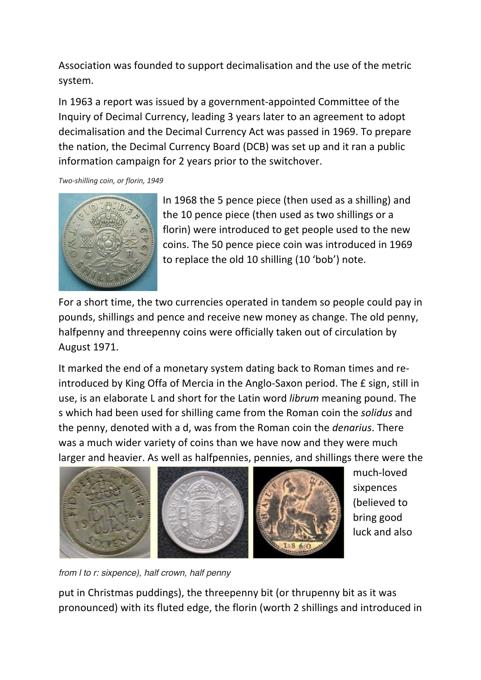Association was founded to support decimalisation and the use of the metric system.

In 1963 a report was issued by a government-appointed Committee of the Inquiry of Decimal Currency, leading 3 years later to an agreement to adopt decimalisation and the Decimal Currency Act was passed in 1969. To prepare the nation, the Decimal Currency Board (DCB) was set up and it ran a public information campaign for 2 years prior to the switchover.

*Two-shilling coin, or florin, 1949*



In 1968 the 5 pence piece (then used as a shilling) and the 10 pence piece (then used as two shillings or a florin) were introduced to get people used to the new coins. The 50 pence piece coin was introduced in 1969 to replace the old 10 shilling (10 'bob') note.

For a short time, the two currencies operated in tandem so people could pay in pounds, shillings and pence and receive new money as change. The old penny, halfpenny and threepenny coins were officially taken out of circulation by August 1971.

It marked the end of a monetary system dating back to Roman times and reintroduced by King Offa of Mercia in the Anglo-Saxon period. The £ sign, still in use, is an elaborate L and short for the Latin word *librum* meaning pound. The s which had been used for shilling came from the Roman coin the *solidus* and the penny, denoted with a d, was from the Roman coin the *denarius*. There was a much wider variety of coins than we have now and they were much larger and heavier. As well as halfpennies, pennies, and shillings there were the



much-loved sixpences (believed to bring good luck and also

*from l to r: sixpence), half crown, half penny*

put in Christmas puddings), the threepenny bit (or thrupenny bit as it was pronounced) with its fluted edge, the florin (worth 2 shillings and introduced in